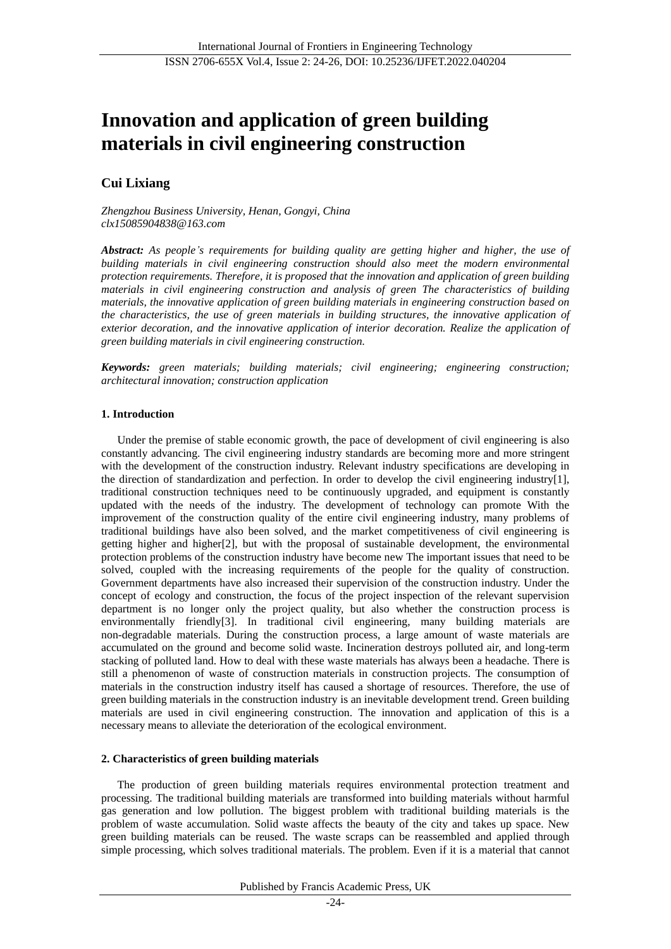# **Innovation and application of green building materials in civil engineering construction**

# **Cui Lixiang**

*Zhengzhou Business University, Henan, Gongyi, China clx15085904838@163.com*

*Abstract: As people's requirements for building quality are getting higher and higher, the use of building materials in civil engineering construction should also meet the modern environmental protection requirements. Therefore, it is proposed that the innovation and application of green building materials in civil engineering construction and analysis of green The characteristics of building materials, the innovative application of green building materials in engineering construction based on the characteristics, the use of green materials in building structures, the innovative application of exterior decoration, and the innovative application of interior decoration. Realize the application of green building materials in civil engineering construction.*

*Keywords: green materials; building materials; civil engineering; engineering construction; architectural innovation; construction application*

# **1. Introduction**

Under the premise of stable economic growth, the pace of development of civil engineering is also constantly advancing. The civil engineering industry standards are becoming more and more stringent with the development of the construction industry. Relevant industry specifications are developing in the direction of standardization and perfection. In order to develop the civil engineering industry[1], traditional construction techniques need to be continuously upgraded, and equipment is constantly updated with the needs of the industry. The development of technology can promote With the improvement of the construction quality of the entire civil engineering industry, many problems of traditional buildings have also been solved, and the market competitiveness of civil engineering is getting higher and higher[2], but with the proposal of sustainable development, the environmental protection problems of the construction industry have become new The important issues that need to be solved, coupled with the increasing requirements of the people for the quality of construction. Government departments have also increased their supervision of the construction industry. Under the concept of ecology and construction, the focus of the project inspection of the relevant supervision department is no longer only the project quality, but also whether the construction process is environmentally friendly[3]. In traditional civil engineering, many building materials are non-degradable materials. During the construction process, a large amount of waste materials are accumulated on the ground and become solid waste. Incineration destroys polluted air, and long-term stacking of polluted land. How to deal with these waste materials has always been a headache. There is still a phenomenon of waste of construction materials in construction projects. The consumption of materials in the construction industry itself has caused a shortage of resources. Therefore, the use of green building materials in the construction industry is an inevitable development trend. Green building materials are used in civil engineering construction. The innovation and application of this is a necessary means to alleviate the deterioration of the ecological environment.

# **2. Characteristics of green building materials**

The production of green building materials requires environmental protection treatment and processing. The traditional building materials are transformed into building materials without harmful gas generation and low pollution. The biggest problem with traditional building materials is the problem of waste accumulation. Solid waste affects the beauty of the city and takes up space. New green building materials can be reused. The waste scraps can be reassembled and applied through simple processing, which solves traditional materials. The problem. Even if it is a material that cannot

Published by Francis Academic Press, UK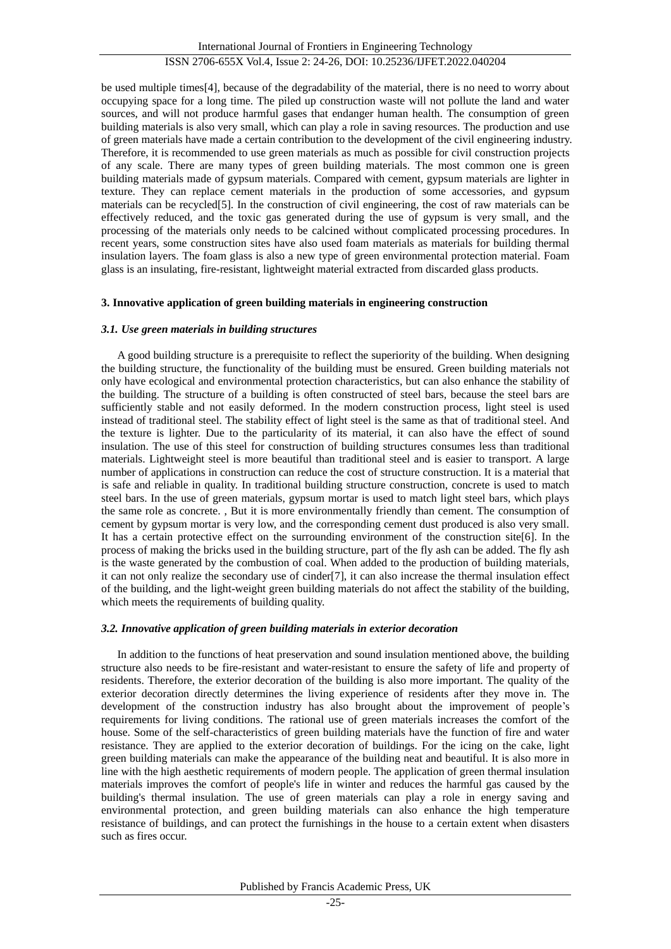be used multiple times[4], because of the degradability of the material, there is no need to worry about occupying space for a long time. The piled up construction waste will not pollute the land and water sources, and will not produce harmful gases that endanger human health. The consumption of green building materials is also very small, which can play a role in saving resources. The production and use of green materials have made a certain contribution to the development of the civil engineering industry. Therefore, it is recommended to use green materials as much as possible for civil construction projects of any scale. There are many types of green building materials. The most common one is green building materials made of gypsum materials. Compared with cement, gypsum materials are lighter in texture. They can replace cement materials in the production of some accessories, and gypsum materials can be recycled<sup>[5]</sup>. In the construction of civil engineering, the cost of raw materials can be effectively reduced, and the toxic gas generated during the use of gypsum is very small, and the processing of the materials only needs to be calcined without complicated processing procedures. In recent years, some construction sites have also used foam materials as materials for building thermal insulation layers. The foam glass is also a new type of green environmental protection material. Foam glass is an insulating, fire-resistant, lightweight material extracted from discarded glass products.

# **3. Innovative application of green building materials in engineering construction**

# *3.1. Use green materials in building structures*

A good building structure is a prerequisite to reflect the superiority of the building. When designing the building structure, the functionality of the building must be ensured. Green building materials not only have ecological and environmental protection characteristics, but can also enhance the stability of the building. The structure of a building is often constructed of steel bars, because the steel bars are sufficiently stable and not easily deformed. In the modern construction process, light steel is used instead of traditional steel. The stability effect of light steel is the same as that of traditional steel. And the texture is lighter. Due to the particularity of its material, it can also have the effect of sound insulation. The use of this steel for construction of building structures consumes less than traditional materials. Lightweight steel is more beautiful than traditional steel and is easier to transport. A large number of applications in construction can reduce the cost of structure construction. It is a material that is safe and reliable in quality. In traditional building structure construction, concrete is used to match steel bars. In the use of green materials, gypsum mortar is used to match light steel bars, which plays the same role as concrete. , But it is more environmentally friendly than cement. The consumption of cement by gypsum mortar is very low, and the corresponding cement dust produced is also very small. It has a certain protective effect on the surrounding environment of the construction site[6]. In the process of making the bricks used in the building structure, part of the fly ash can be added. The fly ash is the waste generated by the combustion of coal. When added to the production of building materials, it can not only realize the secondary use of cinder[7], it can also increase the thermal insulation effect of the building, and the light-weight green building materials do not affect the stability of the building, which meets the requirements of building quality.

# *3.2. Innovative application of green building materials in exterior decoration*

In addition to the functions of heat preservation and sound insulation mentioned above, the building structure also needs to be fire-resistant and water-resistant to ensure the safety of life and property of residents. Therefore, the exterior decoration of the building is also more important. The quality of the exterior decoration directly determines the living experience of residents after they move in. The development of the construction industry has also brought about the improvement of people's requirements for living conditions. The rational use of green materials increases the comfort of the house. Some of the self-characteristics of green building materials have the function of fire and water resistance. They are applied to the exterior decoration of buildings. For the icing on the cake, light green building materials can make the appearance of the building neat and beautiful. It is also more in line with the high aesthetic requirements of modern people. The application of green thermal insulation materials improves the comfort of people's life in winter and reduces the harmful gas caused by the building's thermal insulation. The use of green materials can play a role in energy saving and environmental protection, and green building materials can also enhance the high temperature resistance of buildings, and can protect the furnishings in the house to a certain extent when disasters such as fires occur.

Published by Francis Academic Press, UK